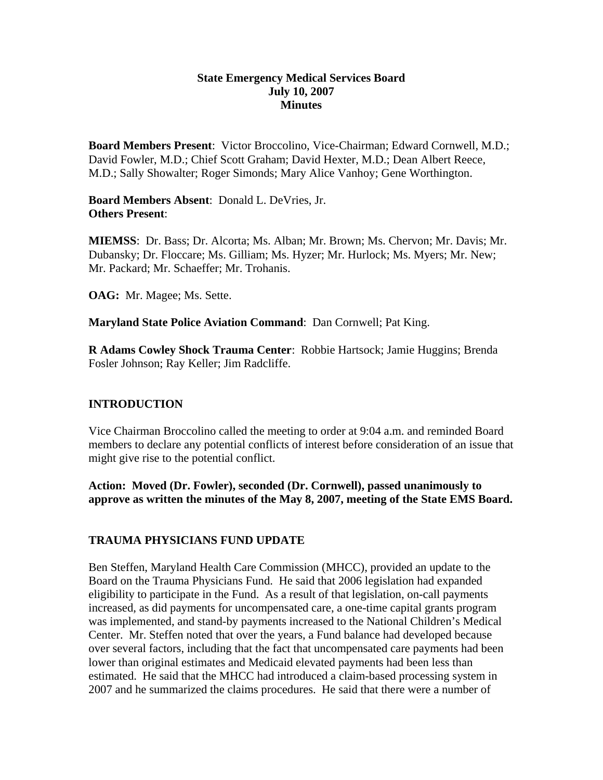### **State Emergency Medical Services Board July 10, 2007 Minutes**

**Board Members Present**: Victor Broccolino, Vice-Chairman; Edward Cornwell, M.D.; David Fowler, M.D.; Chief Scott Graham; David Hexter, M.D.; Dean Albert Reece, M.D.; Sally Showalter; Roger Simonds; Mary Alice Vanhoy; Gene Worthington.

**Board Members Absent**: Donald L. DeVries, Jr. **Others Present**:

**MIEMSS**: Dr. Bass; Dr. Alcorta; Ms. Alban; Mr. Brown; Ms. Chervon; Mr. Davis; Mr. Dubansky; Dr. Floccare; Ms. Gilliam; Ms. Hyzer; Mr. Hurlock; Ms. Myers; Mr. New; Mr. Packard; Mr. Schaeffer; Mr. Trohanis.

**OAG:** Mr. Magee; Ms. Sette.

**Maryland State Police Aviation Command**: Dan Cornwell; Pat King.

**R Adams Cowley Shock Trauma Center**: Robbie Hartsock; Jamie Huggins; Brenda Fosler Johnson; Ray Keller; Jim Radcliffe.

## **INTRODUCTION**

Vice Chairman Broccolino called the meeting to order at 9:04 a.m. and reminded Board members to declare any potential conflicts of interest before consideration of an issue that might give rise to the potential conflict.

**Action: Moved (Dr. Fowler), seconded (Dr. Cornwell), passed unanimously to approve as written the minutes of the May 8, 2007, meeting of the State EMS Board.** 

## **TRAUMA PHYSICIANS FUND UPDATE**

Ben Steffen, Maryland Health Care Commission (MHCC), provided an update to the Board on the Trauma Physicians Fund. He said that 2006 legislation had expanded eligibility to participate in the Fund. As a result of that legislation, on-call payments increased, as did payments for uncompensated care, a one-time capital grants program was implemented, and stand-by payments increased to the National Children's Medical Center. Mr. Steffen noted that over the years, a Fund balance had developed because over several factors, including that the fact that uncompensated care payments had been lower than original estimates and Medicaid elevated payments had been less than estimated. He said that the MHCC had introduced a claim-based processing system in 2007 and he summarized the claims procedures. He said that there were a number of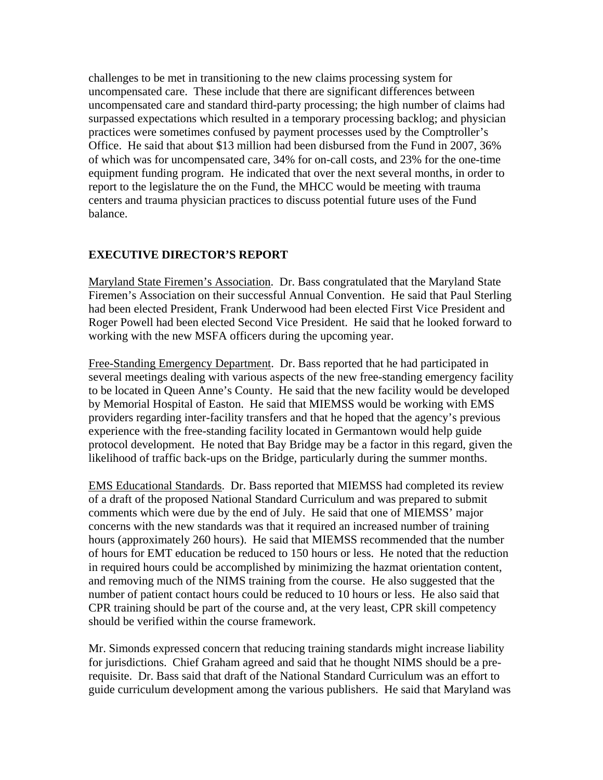challenges to be met in transitioning to the new claims processing system for uncompensated care. These include that there are significant differences between uncompensated care and standard third-party processing; the high number of claims had surpassed expectations which resulted in a temporary processing backlog; and physician practices were sometimes confused by payment processes used by the Comptroller's Office. He said that about \$13 million had been disbursed from the Fund in 2007, 36% of which was for uncompensated care, 34% for on-call costs, and 23% for the one-time equipment funding program. He indicated that over the next several months, in order to report to the legislature the on the Fund, the MHCC would be meeting with trauma centers and trauma physician practices to discuss potential future uses of the Fund balance.

# **EXECUTIVE DIRECTOR'S REPORT**

Maryland State Firemen's Association. Dr. Bass congratulated that the Maryland State Firemen's Association on their successful Annual Convention. He said that Paul Sterling had been elected President, Frank Underwood had been elected First Vice President and Roger Powell had been elected Second Vice President. He said that he looked forward to working with the new MSFA officers during the upcoming year.

Free-Standing Emergency Department. Dr. Bass reported that he had participated in several meetings dealing with various aspects of the new free-standing emergency facility to be located in Queen Anne's County. He said that the new facility would be developed by Memorial Hospital of Easton. He said that MIEMSS would be working with EMS providers regarding inter-facility transfers and that he hoped that the agency's previous experience with the free-standing facility located in Germantown would help guide protocol development. He noted that Bay Bridge may be a factor in this regard, given the likelihood of traffic back-ups on the Bridge, particularly during the summer months.

EMS Educational Standards. Dr. Bass reported that MIEMSS had completed its review of a draft of the proposed National Standard Curriculum and was prepared to submit comments which were due by the end of July. He said that one of MIEMSS' major concerns with the new standards was that it required an increased number of training hours (approximately 260 hours). He said that MIEMSS recommended that the number of hours for EMT education be reduced to 150 hours or less. He noted that the reduction in required hours could be accomplished by minimizing the hazmat orientation content, and removing much of the NIMS training from the course. He also suggested that the number of patient contact hours could be reduced to 10 hours or less. He also said that CPR training should be part of the course and, at the very least, CPR skill competency should be verified within the course framework.

Mr. Simonds expressed concern that reducing training standards might increase liability for jurisdictions. Chief Graham agreed and said that he thought NIMS should be a prerequisite. Dr. Bass said that draft of the National Standard Curriculum was an effort to guide curriculum development among the various publishers. He said that Maryland was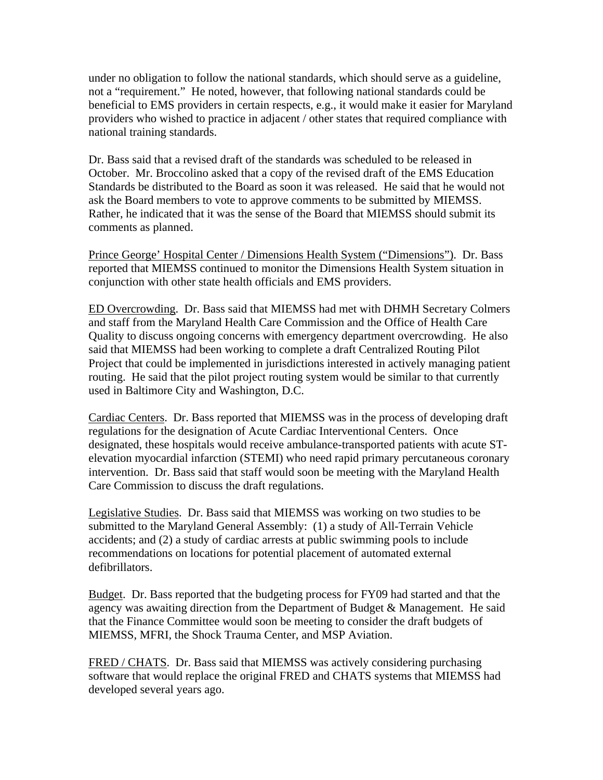under no obligation to follow the national standards, which should serve as a guideline, not a "requirement." He noted, however, that following national standards could be beneficial to EMS providers in certain respects, e.g., it would make it easier for Maryland providers who wished to practice in adjacent / other states that required compliance with national training standards.

Dr. Bass said that a revised draft of the standards was scheduled to be released in October. Mr. Broccolino asked that a copy of the revised draft of the EMS Education Standards be distributed to the Board as soon it was released. He said that he would not ask the Board members to vote to approve comments to be submitted by MIEMSS. Rather, he indicated that it was the sense of the Board that MIEMSS should submit its comments as planned.

Prince George' Hospital Center / Dimensions Health System ("Dimensions"). Dr. Bass reported that MIEMSS continued to monitor the Dimensions Health System situation in conjunction with other state health officials and EMS providers.

ED Overcrowding. Dr. Bass said that MIEMSS had met with DHMH Secretary Colmers and staff from the Maryland Health Care Commission and the Office of Health Care Quality to discuss ongoing concerns with emergency department overcrowding. He also said that MIEMSS had been working to complete a draft Centralized Routing Pilot Project that could be implemented in jurisdictions interested in actively managing patient routing. He said that the pilot project routing system would be similar to that currently used in Baltimore City and Washington, D.C.

Cardiac Centers. Dr. Bass reported that MIEMSS was in the process of developing draft regulations for the designation of Acute Cardiac Interventional Centers. Once designated, these hospitals would receive ambulance-transported patients with acute STelevation myocardial infarction (STEMI) who need rapid primary percutaneous coronary intervention. Dr. Bass said that staff would soon be meeting with the Maryland Health Care Commission to discuss the draft regulations.

Legislative Studies. Dr. Bass said that MIEMSS was working on two studies to be submitted to the Maryland General Assembly: (1) a study of All-Terrain Vehicle accidents; and (2) a study of cardiac arrests at public swimming pools to include recommendations on locations for potential placement of automated external defibrillators.

Budget. Dr. Bass reported that the budgeting process for FY09 had started and that the agency was awaiting direction from the Department of Budget & Management. He said that the Finance Committee would soon be meeting to consider the draft budgets of MIEMSS, MFRI, the Shock Trauma Center, and MSP Aviation.

FRED / CHATS. Dr. Bass said that MIEMSS was actively considering purchasing software that would replace the original FRED and CHATS systems that MIEMSS had developed several years ago.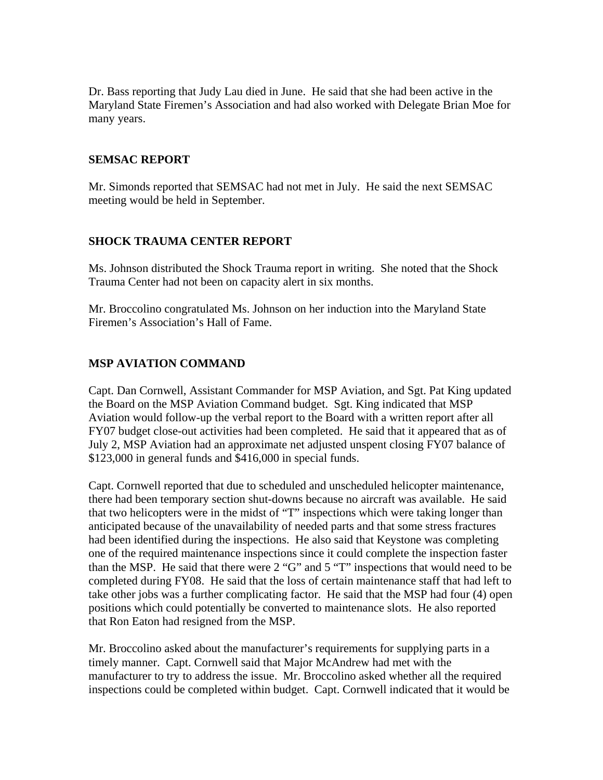Dr. Bass reporting that Judy Lau died in June. He said that she had been active in the Maryland State Firemen's Association and had also worked with Delegate Brian Moe for many years.

### **SEMSAC REPORT**

Mr. Simonds reported that SEMSAC had not met in July. He said the next SEMSAC meeting would be held in September.

#### **SHOCK TRAUMA CENTER REPORT**

Ms. Johnson distributed the Shock Trauma report in writing. She noted that the Shock Trauma Center had not been on capacity alert in six months.

Mr. Broccolino congratulated Ms. Johnson on her induction into the Maryland State Firemen's Association's Hall of Fame.

#### **MSP AVIATION COMMAND**

Capt. Dan Cornwell, Assistant Commander for MSP Aviation, and Sgt. Pat King updated the Board on the MSP Aviation Command budget. Sgt. King indicated that MSP Aviation would follow-up the verbal report to the Board with a written report after all FY07 budget close-out activities had been completed. He said that it appeared that as of July 2, MSP Aviation had an approximate net adjusted unspent closing FY07 balance of \$123,000 in general funds and \$416,000 in special funds.

Capt. Cornwell reported that due to scheduled and unscheduled helicopter maintenance, there had been temporary section shut-downs because no aircraft was available. He said that two helicopters were in the midst of "T" inspections which were taking longer than anticipated because of the unavailability of needed parts and that some stress fractures had been identified during the inspections. He also said that Keystone was completing one of the required maintenance inspections since it could complete the inspection faster than the MSP. He said that there were 2 "G" and 5 "T" inspections that would need to be completed during FY08. He said that the loss of certain maintenance staff that had left to take other jobs was a further complicating factor. He said that the MSP had four (4) open positions which could potentially be converted to maintenance slots. He also reported that Ron Eaton had resigned from the MSP.

Mr. Broccolino asked about the manufacturer's requirements for supplying parts in a timely manner. Capt. Cornwell said that Major McAndrew had met with the manufacturer to try to address the issue. Mr. Broccolino asked whether all the required inspections could be completed within budget. Capt. Cornwell indicated that it would be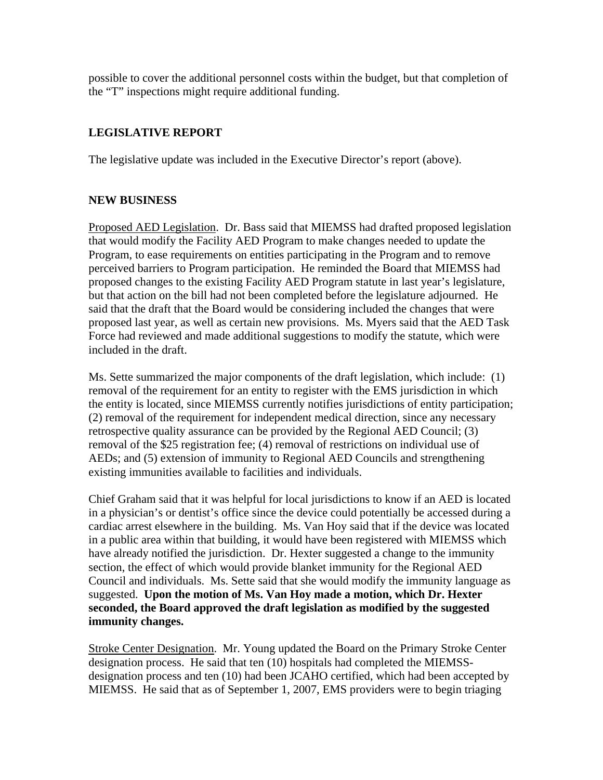possible to cover the additional personnel costs within the budget, but that completion of the "T" inspections might require additional funding.

# **LEGISLATIVE REPORT**

The legislative update was included in the Executive Director's report (above).

## **NEW BUSINESS**

Proposed AED Legislation. Dr. Bass said that MIEMSS had drafted proposed legislation that would modify the Facility AED Program to make changes needed to update the Program, to ease requirements on entities participating in the Program and to remove perceived barriers to Program participation. He reminded the Board that MIEMSS had proposed changes to the existing Facility AED Program statute in last year's legislature, but that action on the bill had not been completed before the legislature adjourned. He said that the draft that the Board would be considering included the changes that were proposed last year, as well as certain new provisions. Ms. Myers said that the AED Task Force had reviewed and made additional suggestions to modify the statute, which were included in the draft.

Ms. Sette summarized the major components of the draft legislation, which include: (1) removal of the requirement for an entity to register with the EMS jurisdiction in which the entity is located, since MIEMSS currently notifies jurisdictions of entity participation; (2) removal of the requirement for independent medical direction, since any necessary retrospective quality assurance can be provided by the Regional AED Council; (3) removal of the \$25 registration fee; (4) removal of restrictions on individual use of AEDs; and (5) extension of immunity to Regional AED Councils and strengthening existing immunities available to facilities and individuals.

Chief Graham said that it was helpful for local jurisdictions to know if an AED is located in a physician's or dentist's office since the device could potentially be accessed during a cardiac arrest elsewhere in the building. Ms. Van Hoy said that if the device was located in a public area within that building, it would have been registered with MIEMSS which have already notified the jurisdiction. Dr. Hexter suggested a change to the immunity section, the effect of which would provide blanket immunity for the Regional AED Council and individuals. Ms. Sette said that she would modify the immunity language as suggested. **Upon the motion of Ms. Van Hoy made a motion, which Dr. Hexter seconded, the Board approved the draft legislation as modified by the suggested immunity changes.**

Stroke Center Designation. Mr. Young updated the Board on the Primary Stroke Center designation process. He said that ten (10) hospitals had completed the MIEMSSdesignation process and ten (10) had been JCAHO certified, which had been accepted by MIEMSS. He said that as of September 1, 2007, EMS providers were to begin triaging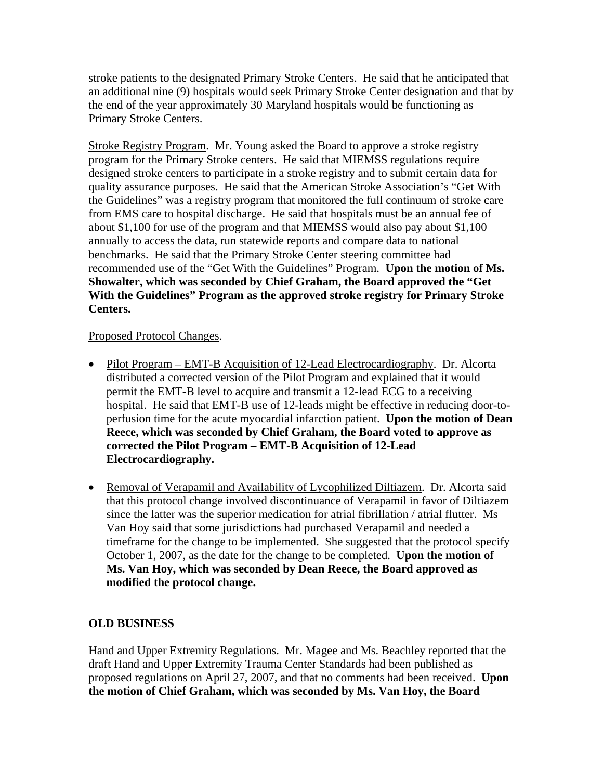stroke patients to the designated Primary Stroke Centers. He said that he anticipated that an additional nine (9) hospitals would seek Primary Stroke Center designation and that by the end of the year approximately 30 Maryland hospitals would be functioning as Primary Stroke Centers.

Stroke Registry Program. Mr. Young asked the Board to approve a stroke registry program for the Primary Stroke centers. He said that MIEMSS regulations require designed stroke centers to participate in a stroke registry and to submit certain data for quality assurance purposes. He said that the American Stroke Association's "Get With the Guidelines" was a registry program that monitored the full continuum of stroke care from EMS care to hospital discharge. He said that hospitals must be an annual fee of about \$1,100 for use of the program and that MIEMSS would also pay about \$1,100 annually to access the data, run statewide reports and compare data to national benchmarks. He said that the Primary Stroke Center steering committee had recommended use of the "Get With the Guidelines" Program. **Upon the motion of Ms. Showalter, which was seconded by Chief Graham, the Board approved the "Get With the Guidelines" Program as the approved stroke registry for Primary Stroke Centers.** 

## Proposed Protocol Changes.

- Pilot Program EMT-B Acquisition of 12-Lead Electrocardiography. Dr. Alcorta distributed a corrected version of the Pilot Program and explained that it would permit the EMT-B level to acquire and transmit a 12-lead ECG to a receiving hospital. He said that EMT-B use of 12-leads might be effective in reducing door-toperfusion time for the acute myocardial infarction patient. **Upon the motion of Dean Reece, which was seconded by Chief Graham, the Board voted to approve as corrected the Pilot Program – EMT-B Acquisition of 12-Lead Electrocardiography.**
- Removal of Verapamil and Availability of Lycophilized Diltiazem. Dr. Alcorta said that this protocol change involved discontinuance of Verapamil in favor of Diltiazem since the latter was the superior medication for atrial fibrillation / atrial flutter. Ms Van Hoy said that some jurisdictions had purchased Verapamil and needed a timeframe for the change to be implemented. She suggested that the protocol specify October 1, 2007, as the date for the change to be completed. **Upon the motion of Ms. Van Hoy, which was seconded by Dean Reece, the Board approved as modified the protocol change.**

## **OLD BUSINESS**

Hand and Upper Extremity Regulations. Mr. Magee and Ms. Beachley reported that the draft Hand and Upper Extremity Trauma Center Standards had been published as proposed regulations on April 27, 2007, and that no comments had been received. **Upon the motion of Chief Graham, which was seconded by Ms. Van Hoy, the Board**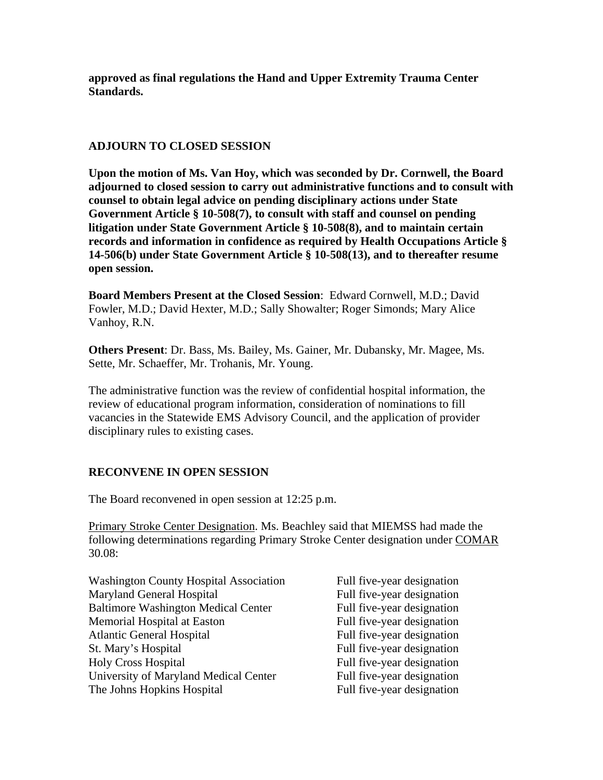**approved as final regulations the Hand and Upper Extremity Trauma Center Standards.** 

## **ADJOURN TO CLOSED SESSION**

**Upon the motion of Ms. Van Hoy, which was seconded by Dr. Cornwell, the Board adjourned to closed session to carry out administrative functions and to consult with counsel to obtain legal advice on pending disciplinary actions under State Government Article § 10-508(7), to consult with staff and counsel on pending litigation under State Government Article § 10-508(8), and to maintain certain records and information in confidence as required by Health Occupations Article § 14-506(b) under State Government Article § 10-508(13), and to thereafter resume open session.** 

**Board Members Present at the Closed Session**: Edward Cornwell, M.D.; David Fowler, M.D.; David Hexter, M.D.; Sally Showalter; Roger Simonds; Mary Alice Vanhoy, R.N.

**Others Present**: Dr. Bass, Ms. Bailey, Ms. Gainer, Mr. Dubansky, Mr. Magee, Ms. Sette, Mr. Schaeffer, Mr. Trohanis, Mr. Young.

The administrative function was the review of confidential hospital information, the review of educational program information, consideration of nominations to fill vacancies in the Statewide EMS Advisory Council, and the application of provider disciplinary rules to existing cases.

## **RECONVENE IN OPEN SESSION**

The Board reconvened in open session at 12:25 p.m.

Primary Stroke Center Designation. Ms. Beachley said that MIEMSS had made the following determinations regarding Primary Stroke Center designation under COMAR 30.08:

| Full five-year designation |
|----------------------------|
| Full five-year designation |
| Full five-year designation |
| Full five-year designation |
| Full five-year designation |
| Full five-year designation |
| Full five-year designation |
| Full five-year designation |
| Full five-year designation |
|                            |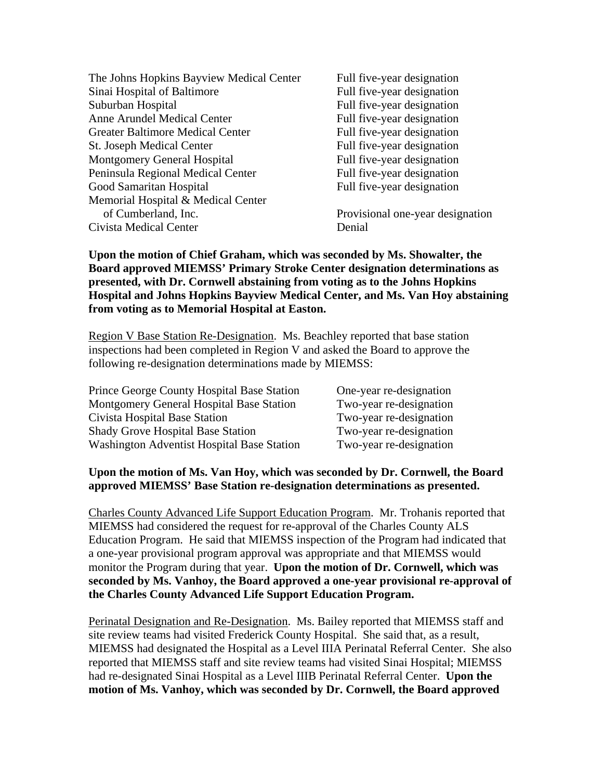| The Johns Hopkins Bayview Medical Center |
|------------------------------------------|
| Sinai Hospital of Baltimore              |
| Suburban Hospital                        |
| Anne Arundel Medical Center              |
| <b>Greater Baltimore Medical Center</b>  |
| St. Joseph Medical Center                |
| <b>Montgomery General Hospital</b>       |
| Peninsula Regional Medical Center        |
| Good Samaritan Hospital                  |
| Memorial Hospital & Medical Center       |
| of Cumberland, Inc.                      |
| Civista Medical Center                   |

Full five-year designation Full five-year designation Full five-year designation Full five-year designation Full five-year designation Full five-year designation Full five-year designation Full five-year designation Full five-year designation

Provisional one-year designation Denial

**Upon the motion of Chief Graham, which was seconded by Ms. Showalter, the Board approved MIEMSS' Primary Stroke Center designation determinations as presented, with Dr. Cornwell abstaining from voting as to the Johns Hopkins Hospital and Johns Hopkins Bayview Medical Center, and Ms. Van Hoy abstaining from voting as to Memorial Hospital at Easton.** 

Region V Base Station Re-Designation. Ms. Beachley reported that base station inspections had been completed in Region V and asked the Board to approve the following re-designation determinations made by MIEMSS:

| Prince George County Hospital Base Station | One-year re-designation |
|--------------------------------------------|-------------------------|
| Montgomery General Hospital Base Station   | Two-year re-designation |
| Civista Hospital Base Station              | Two-year re-designation |
| <b>Shady Grove Hospital Base Station</b>   | Two-year re-designation |
| Washington Adventist Hospital Base Station | Two-year re-designation |

## **Upon the motion of Ms. Van Hoy, which was seconded by Dr. Cornwell, the Board approved MIEMSS' Base Station re-designation determinations as presented.**

Charles County Advanced Life Support Education Program. Mr. Trohanis reported that MIEMSS had considered the request for re-approval of the Charles County ALS Education Program. He said that MIEMSS inspection of the Program had indicated that a one-year provisional program approval was appropriate and that MIEMSS would monitor the Program during that year. **Upon the motion of Dr. Cornwell, which was seconded by Ms. Vanhoy, the Board approved a one-year provisional re-approval of the Charles County Advanced Life Support Education Program.** 

Perinatal Designation and Re-Designation. Ms. Bailey reported that MIEMSS staff and site review teams had visited Frederick County Hospital. She said that, as a result, MIEMSS had designated the Hospital as a Level IIIA Perinatal Referral Center. She also reported that MIEMSS staff and site review teams had visited Sinai Hospital; MIEMSS had re-designated Sinai Hospital as a Level IIIB Perinatal Referral Center. **Upon the motion of Ms. Vanhoy, which was seconded by Dr. Cornwell, the Board approved**